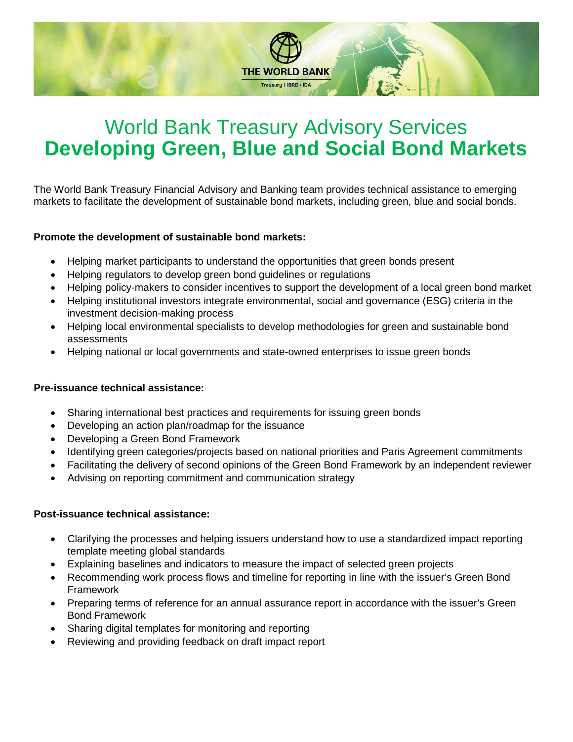

# World Bank Treasury Advisory Services **Developing Green, Blue and Social Bond Markets**

The World Bank Treasury Financial Advisory and Banking team provides technical assistance to emerging markets to facilitate the development of sustainable bond markets, including green, blue and social bonds.

#### **Promote the development of sustainable bond markets:**

- Helping market participants to understand the opportunities that green bonds present
- Helping regulators to develop green bond guidelines or regulations
- Helping policy-makers to consider incentives to support the development of a local green bond market
- Helping institutional investors integrate environmental, social and governance (ESG) criteria in the investment decision-making process
- Helping local environmental specialists to develop methodologies for green and sustainable bond assessments
- Helping national or local governments and state-owned enterprises to issue green bonds

#### **Pre-issuance technical assistance:**

- Sharing international best practices and requirements for issuing green bonds
- Developing an action plan/roadmap for the issuance
- Developing a Green Bond Framework
- Identifying green categories/projects based on national priorities and Paris Agreement commitments
- Facilitating the delivery of second opinions of the Green Bond Framework by an independent reviewer
- Advising on reporting commitment and communication strategy

#### **Post-issuance technical assistance:**

- Clarifying the processes and helping issuers understand how to use a standardized impact reporting template meeting global standards
- Explaining baselines and indicators to measure the impact of selected green projects
- Recommending work process flows and timeline for reporting in line with the issuer's Green Bond Framework
- Preparing terms of reference for an annual assurance report in accordance with the issuer's Green Bond Framework
- Sharing digital templates for monitoring and reporting
- Reviewing and providing feedback on draft impact report